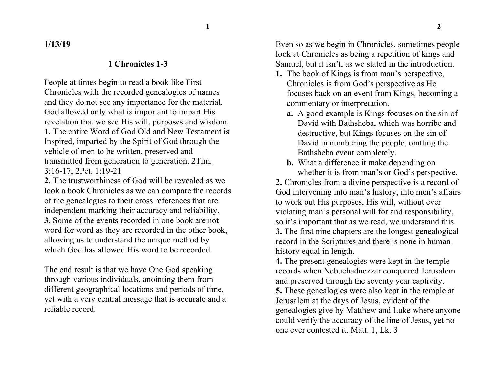**1/13/19**

#### **1 Chronicles 1-3**

People at times begin to read a book like First Chronicles with the recorded genealogies of names and they do not see any importance for the material. God allowed only what is important to impart His revelation that we see His will, purposes and wisdom. **1.** The entire Word of God Old and New Testament is Inspired, imparted by the Spirit of God through the vehicle of men to be written, preserved and transmitted from generation to generation. 2Tim. 3:16-17; 2Pet. 1:19-21

**2.** The trustworthiness of God will be revealed as we look a book Chronicles as we can compare the records of the genealogies to their cross references that are independent marking their accuracy and reliability. **3.** Some of the events recorded in one book are not word for word as they are recorded in the other book, allowing us to understand the unique method by which God has allowed His word to be recorded.

The end result is that we have One God speaking through various individuals, anointing them from different geographical locations and periods of time, yet with a very central message that is accurate and a reliable record.

Even so as we begin in Chronicles, sometimes people look at Chronicles as being a repetition of kings and Samuel, but it isn't, as we stated in the introduction.

- **1.** The book of Kings is from man's perspective, Chronicles is from God's perspective as He focuses back on an event from Kings, becoming a commentary or interpretation.
	- **a.** A good example is Kings focuses on the sin of David with Bathsheba, which was horribe and destructive, but Kings focuses on the sin of David in numbering the people, omtting the Bathsheba event completely.
	- **b.** What a difference it make depending on whether it is from man's or God's perspective.

**2.** Chronicles from a divine perspective is a record of God intervening into man's history, into men's affairs to work out His purposes, His will, without ever violating man's personal will for and responsibility, so it's important that as we read, we understand this. **3.** The first nine chapters are the longest genealogical record in the Scriptures and there is none in human history equal in length.

**4.** The present genealogies were kept in the temple records when Nebuchadnezzar conquered Jerusalem and preserved through the seventy year captivity.

**5.** These genealogies were also kept in the temple at Jerusalem at the days of Jesus, evident of the genealogies give by Matthew and Luke where anyone could verify the accuracy of the line of Jesus, yet no one ever contested it. Matt. 1, Lk. 3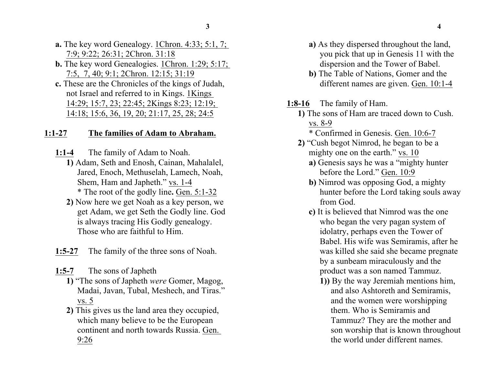- **a.** The key word Genealogy. 1Chron. 4:33; 5:1, 7; 7:9; 9:22; 26:31; 2Chron. 31:18
- **b.** The key word Genealogies. 1Chron. 1:29: 5:17; 7:5, 7, 40; 9:1; 2Chron. 12:15; 31:19
- **c.** These are the Chronicles of the kings of Judah, not Israel and referred to in Kings. 1Kings 14:29; 15:7, 23; 22:45; 2Kings 8:23; 12:19; 14:18; 15:6, 36, 19, 20; 21:17, 25, 28; 24:5

#### **1:1-27 The families of Adam to Abraham.**

- **1:1-4** The family of Adam to Noah.
	- **1)** Adam, Seth and Enosh, Cainan, Mahalalel, Jared, Enoch, Methuselah, Lamech, Noah, Shem, Ham and Japheth." vs. 1-4 \* The root of the godly line**.** Gen. 5:1-32
	- **2)** Now here we get Noah as a key person, we get Adam, we get Seth the Godly line. God is always tracing His Godly genealogy. Those who are faithful to Him.
- **1:5-27** The family of the three sons of Noah.
- **1:5-7** The sons of Japheth
	- **1)** "The sons of Japheth *were* Gomer, Magog, Madai, Javan, Tubal, Meshech, and Tiras." vs. 5
	- **2)** This gives us the land area they occupied, which many believe to be the European continent and north towards Russia. Gen. 9:26
- **a)** As they dispersed throughout the land, you pick that up in Genesis 11 with the dispersion and the Tower of Babel.
- **b)** The Table of Nations, Gomer and the different names are given. Gen. 10:1-4
- **1:8-16** The family of Ham.
	- **1)** The sons of Ham are traced down to Cush. vs. 8-9
		- \* Confirmed in Genesis. Gen. 10:6-7
	- **2)** "Cush begot Nimrod, he began to be a mighty one on the earth." vs. 10
		- **a)** Genesis says he was a "mighty hunter before the Lord." Gen. 10:9
		- **b)** Nimrod was opposing God, a mighty hunter before the Lord taking souls away from God.
		- **c)** It is believed that Nimrod was the one who began the very pagan system of idolatry, perhaps even the Tower of Babel. His wife was Semiramis, after he was killed she said she became pregnate by a sunbeam miraculously and the product was a son named Tammuz.
			- **1))** By the way Jeremiah mentions him, and also Ashtoreth and Semiramis, and the women were worshipping them. Who is Semiramis and Tammuz? They are the mother and son worship that is known throughout the world under different names.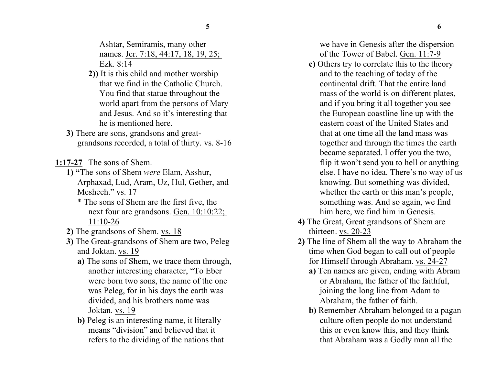Ashtar, Semiramis, many other names. Jer. 7:18, 44:17, 18, 19, 25; Ezk. 8:14

- **2))** It is this child and mother worship that we find in the Catholic Church. You find that statue throughout the world apart from the persons of Mary and Jesus. And so it's interesting that he is mentioned here.
- **3)** There are sons, grandsons and greatgrandsons recorded, a total of thirty. vs. 8-16
- **1:17-27** The sons of Shem.
	- **1) "**The sons of Shem *were* Elam, Asshur, Arphaxad, Lud, Aram, Uz, Hul, Gether, and Meshech." vs. 17
		- \* The sons of Shem are the first five, the next four are grandsons. Gen. 10:10:22; 11:10-26
	- **2)** The grandsons of Shem. vs. 18
	- **3)** The Great-grandsons of Shem are two, Peleg and Joktan. vs. 19
		- **a)** The sons of Shem, we trace them through, another interesting character, "To Eber were born two sons, the name of the one was Peleg, for in his days the earth was divided, and his brothers name was Joktan. vs. 19
		- **b)** Peleg is an interesting name, it literally means "division" and believed that it refers to the dividing of the nations that

we have in Genesis after the dispersion of the Tower of Babel. Gen. 11:7-9

- **c)** Others try to correlate this to the theory and to the teaching of today of the continental drift. That the entire land mass of the world is on different plates, and if you bring it all together you see the European coastline line up with the eastern coast of the United States and that at one time all the land mass was together and through the times the earth became separated. I offer you the two, flip it won't send you to hell or anything else. I have no idea. There's no way of us knowing. But something was divided, whether the earth or this man's people, something was. And so again, we find him here, we find him in Genesis.
- **4)** The Great, Great grandsons of Shem are thirteen. vs. 20-23
- **2)** The line of Shem all the way to Abraham the time when God began to call out of people for Himself through Abraham. vs. 24-27
	- **a)** Ten names are given, ending with Abram or Abraham, the father of the faithful, joining the long line from Adam to Abraham, the father of faith.
	- **b)** Remember Abraham belonged to a pagan culture often people do not understand this or even know this, and they think that Abraham was a Godly man all the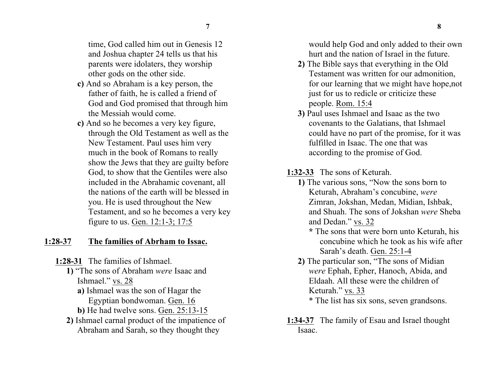time, God called him out in Genesis 12 and Joshua chapter 24 tells us that his parents were idolaters, they worship other gods on the other side.

- **c)** And so Abraham is a key person, the father of faith, he is called a friend of God and God promised that through him the Messiah would come.
- **c)** And so he becomes a very key figure, through the Old Testament as well as the New Testament. Paul uses him very much in the book of Romans to really show the Jews that they are guilty before God, to show that the Gentiles were also included in the Abrahamic covenant, all the nations of the earth will be blessed in you. He is used throughout the New Testament, and so he becomes a very key figure to us. Gen. 12:1-3; 17:5

### **1:28-37 The families of Abrham to Issac.**

- **1:28-31** The families of Ishmael.
	- **1)** "The sons of Abraham *were* Isaac and Ishmael." vs. 28
		- **a)** Ishmael was the son of Hagar the Egyptian bondwoman. Gen. 16
		- **b)** He had twelve sons. Gen. 25:13-15
	- **2)** Ishmael carnal product of the impatience of Abraham and Sarah, so they thought they

would help God and only added to their own hurt and the nation of Israel in the future.

- **2)** The Bible says that everything in the Old Testament was written for our admonition, for our learning that we might have hope,not just for us to redicle or criticize these people. Rom. 15:4
- **3)** Paul uses Ishmael and Isaac as the two covenants to the Galatians, that Ishmael could have no part of the promise, for it was fulfilled in Isaac. The one that was according to the promise of God.
- **1:32-33** The sons of Keturah.
	- **1)** The various sons, "Now the sons born to Keturah, Abraham's concubine, *were* Zimran, Jokshan, Medan, Midian, Ishbak, and Shuah. The sons of Jokshan *were* Sheba and Dedan." vs. 32
		- **\*** The sons that were born unto Keturah, his concubine which he took as his wife after Sarah's death. Gen. 25:1-4
	- **2)** The particular son, "The sons of Midian *were* Ephah, Epher, Hanoch, Abida, and Eldaah. All these were the children of Keturah." vs. 33 \* The list has six sons, seven grandsons.
- **1:34-37** The family of Esau and Israel thought Isaac.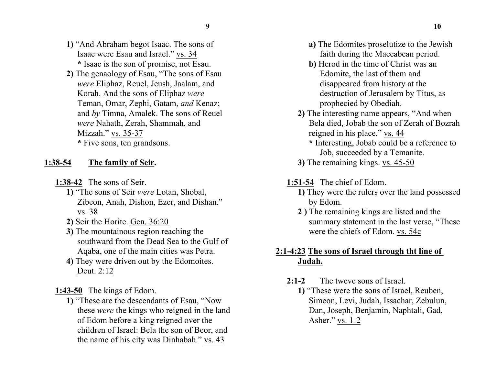- **1)** "And Abraham begot Isaac. The sons of Isaac were Esau and Israel." vs. 34 **\*** Isaac is the son of promise, not Esau.
- **2)** The genaology of Esau, "The sons of Esau *were* Eliphaz, Reuel, Jeush, Jaalam, and Korah. And the sons of Eliphaz *were* Teman, Omar, Zephi, Gatam, *and* Kenaz; and *by* Timna, Amalek. The sons of Reuel *were* Nahath, Zerah, Shammah, and Mizzah." vs. 35-37 **\*** Five sons, ten grandsons.

## **1:38-54 The family of Seir.**

- **1:38-42** The sons of Seir.
	- **1)** "The sons of Seir *were* Lotan, Shobal, Zibeon, Anah, Dishon, Ezer, and Dishan." vs. 38
	- **2)** Seir the Horite. Gen. 36:20
	- **3)** The mountainous region reaching the southward from the Dead Sea to the Gulf of Aqaba, one of the main cities was Petra.
	- **4)** They were driven out by the Edomoites. Deut. 2:12
- **1:43-50** The kings of Edom.
	- **1)** "These are the descendants of Esau, "Now these *were* the kings who reigned in the land of Edom before a king reigned over the children of Israel: Bela the son of Beor, and the name of his city was Dinhabah." vs. 43
- **a)** The Edomites proselutize to the Jewish faith during the Maccabean period.
- **b)** Herod in the time of Christ was an Edomite, the last of them and disappeared from history at the destruction of Jerusalem by Titus, as prophecied by Obediah.
- **2)** The interesting name appears, "And when Bela died, Jobab the son of Zerah of Bozrah reigned in his place." vs. 44
	- **\*** Interesting, Jobab could be a reference to Job, succeeded by a Temanite.
- **3)** The remaining kings. vs. 45-50

# **1:51-54** The chief of Edom.

- **1)** They were the rulers over the land possessed by Edom.
- **2 )** The remaining kings are listed and the summary statement in the last verse, "These were the chiefs of Edom. vs. 54c

# **2:1-4:23 The sons of Israel through tht line of Judah.**

- **2:1-2** The tweve sons of Israel.
	- **1)** "These were the sons of Israel, Reuben, Simeon, Levi, Judah, Issachar, Zebulun, Dan, Joseph, Benjamin, Naphtali, Gad, Asher." vs. 1-2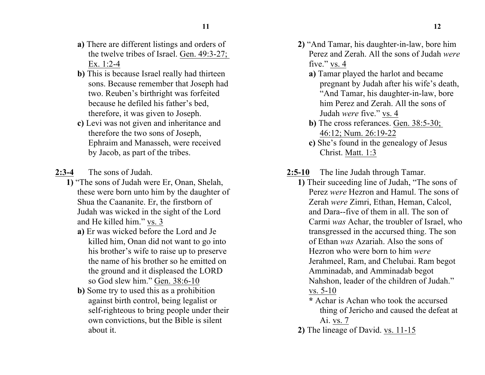- **a)** There are different listings and orders of the twelve tribes of Israel. Gen. 49:3-27; Ex. 1:2-4
- **b)** This is because Israel really had thirteen sons. Because remember that Joseph had two. Reuben's birthright was forfeited because he defiled his father's bed, therefore, it was given to Joseph.
- **c)** Levi was not given and inheritance and therefore the two sons of Joseph, Ephraim and Manasseh, were received by Jacob, as part of the tribes.
- **2:3-4** The sons of Judah.
	- **1)** "The sons of Judah were Er, Onan, Shelah, these were born unto him by the daughter of Shua the Caananite. Er, the firstborn of Judah was wicked in the sight of the Lord and He killed him." vs. 3
		- **a)** Er was wicked before the Lord and Je killed him, Onan did not want to go into his brother's wife to raise up to preserve the name of his brother so he emitted on the ground and it displeased the LORD so God slew him." Gen. 38:6-10
		- **b)** Some try to used this as a prohibition against birth control, being legalist or self-righteous to bring people under their own convictions, but the Bible is silent about it.
- **2)** "And Tamar, his daughter-in-law, bore him Perez and Zerah. All the sons of Judah *were* five." vs. 4
	- **a)** Tamar played the harlot and became pregnant by Judah after his wife's death, "And Tamar, his daughter-in-law, bore him Perez and Zerah. All the sons of Judah *were* five." vs. 4
	- **b)** The cross referances. Gen. 38:5-30; 46:12; Num. 26:19-22
	- **c)** She's found in the genealogy of Jesus Christ. Matt. 1:3
- **2:5-10** The line Judah through Tamar.
	- **1)** Their suceeding line of Judah, "The sons of Perez *were* Hezron and Hamul. The sons of Zerah *were* Zimri, Ethan, Heman, Calcol, and Dara--five of them in all. The son of Carmi *was* Achar, the troubler of Israel, who transgressed in the accursed thing. The son of Ethan *was* Azariah. Also the sons of Hezron who were born to him *were* Jerahmeel, Ram, and Chelubai. Ram begot Amminadab, and Amminadab begot Nahshon, leader of the children of Judah." vs. 5-10
		- **\*** Achar is Achan who took the accursed thing of Jericho and caused the defeat at Ai. vs. 7
	- **2)** The lineage of David. vs. 11-15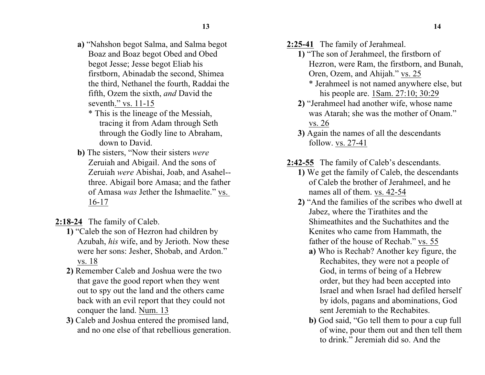- **a)** "Nahshon begot Salma, and Salma begot Boaz and Boaz begot Obed and Obed begot Jesse; Jesse begot Eliab his firstborn, Abinadab the second, Shimea the third, Nethanel the fourth, Raddai the fifth, Ozem the sixth, *and* David the seventh." vs. 11-15
	- \* This is the lineage of the Messiah, tracing it from Adam through Seth through the Godly line to Abraham, down to David.
- **b)** The sisters, "Now their sisters *were* Zeruiah and Abigail. And the sons of Zeruiah *were* Abishai, Joab, and Asahel- three. Abigail bore Amasa; and the father of Amasa *was* Jether the Ishmaelite." vs. 16-17
- **2:18-24** The family of Caleb.
	- **1)** "Caleb the son of Hezron had children by Azubah, *his* wife, and by Jerioth. Now these were her sons: Jesher, Shobab, and Ardon." vs. 18
	- **2)** Remember Caleb and Joshua were the two that gave the good report when they went out to spy out the land and the others came back with an evil report that they could not conquer the land. Num. 13
	- **3)** Caleb and Joshua entered the promised land, and no one else of that rebellious generation.
- **2:25-41** The family of Jerahmeal.
	- **1)** "The son of Jerahmeel, the firstborn of Hezron, were Ram, the firstborn, and Bunah, Oren, Ozem, and Ahijah." vs. 25
		- \* Jerahmeel is not named anywhere else, but his people are. 1Sam. 27:10; 30:29
	- **2)** "Jerahmeel had another wife, whose name was Atarah; she was the mother of Onam." vs. 26
	- **3)** Again the names of all the descendants follow. vs. 27-41
- **2:42-55** The family of Caleb's descendants.
	- **1)** We get the family of Caleb, the descendants of Caleb the brother of Jerahmeel, and he names all of them. vs. 42-54
	- **2)** "And the families of the scribes who dwell at Jabez, where the Tirathites and the Shimeathites and the Suchathites and the Kenites who came from Hammath, the father of the house of Rechab." vs. 55
		- **a)** Who is Rechab? Another key figure, the Rechabites, they were not a people of God, in terms of being of a Hebrew order, but they had been accepted into Israel and when Israel had defiled herself by idols, pagans and abominations, God sent Jeremiah to the Rechabites.
		- **b)** God said, "Go tell them to pour a cup full of wine, pour them out and then tell them to drink." Jeremiah did so. And the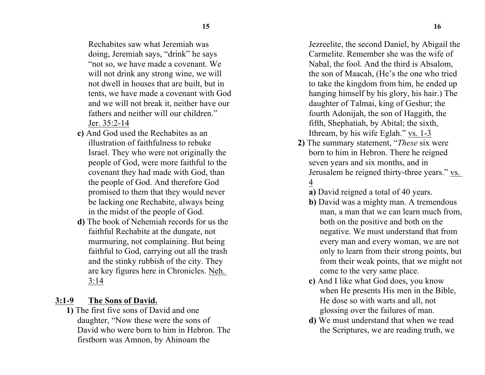Rechabites saw what Jeremiah was doing, Jeremiah says, "drink" he says "not so, we have made a covenant. We will not drink any strong wine, we will not dwell in houses that are built, but in tents, we have made a covenant with God and we will not break it, neither have our fathers and neither will our children." Jer. 35:2-14

- **c)** And God used the Rechabites as an illustration of faithfulness to rebuke Israel. They who were not originally the people of God, were more faithful to the covenant they had made with God, than the people of God. And therefore God promised to them that they would never be lacking one Rechabite, always being in the midst of the people of God.
- **d)** The book of Nehemiah records for us the faithful Rechabite at the dungate, not murmuring, not complaining. But being faithful to God, carrying out all the trash and the stinky rubbish of the city. They are key figures here in Chronicles. Neh. 3:14

## **3:1-9 The Sons of David.**

**1)** The first five sons of David and one daughter, "Now these were the sons of David who were born to him in Hebron. The firstborn was Amnon, by Ahinoam the

Jezreelite, the second Daniel, by Abigail the Carmelite. Remember she was the wife of Nabal, the fool. And the third is Absalom, the son of Maacah, (He's the one who tried to take the kingdom from him, he ended up hanging himself by his glory, his hair.) The daughter of Talmai, king of Geshur; the fourth Adonijah, the son of Haggith, the fifth, Shephatiah, by Abital; the sixth, Ithream, by his wife Eglah." vs. 1-3

- **2)** The summary statement, "*These* six were born to him in Hebron. There he reigned seven years and six months, and in Jerusalem he reigned thirty-three years." vs. 4
	- **a)** David reigned a total of 40 years.
	- **b)** David was a mighty man. A tremendous man, a man that we can learn much from, both on the positive and both on the negative. We must understand that from every man and every woman, we are not only to learn from their strong points, but from their weak points, that we might not come to the very same place.
	- **c)** And I like what God does, you know when He presents His men in the Bible, He dose so with warts and all, not glossing over the failures of man.
	- **d)** We must understand that when we read the Scriptures, we are reading truth, we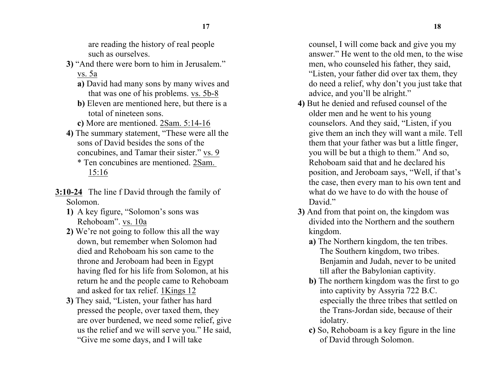are reading the history of real people such as ourselves.

- **3)** "And there were born to him in Jerusalem." vs. 5a
	- **a)** David had many sons by many wives and that was one of his problems. vs. 5b-8
	- **b)** Eleven are mentioned here, but there is a total of nineteen sons.
	- **c)** More are mentioned. 2Sam. 5:14-16
- **4)** The summary statement, "These were all the sons of David besides the sons of the concubines, and Tamar their sister." vs. 9 \* Ten concubines are mentioned. 2Sam. 15:16
- **3:10-24** The line f David through the family of Solomon.
	- **1)** A key figure, "Solomon's sons was Rehoboam". vs. 10a
	- **2)** We're not going to follow this all the way down, but remember when Solomon had died and Rehoboam his son came to the throne and Jeroboam had been in Egypt having fled for his life from Solomon, at his return he and the people came to Rehoboam and asked for tax relief. 1Kings 12
	- **3)** They said, "Listen, your father has hard pressed the people, over taxed them, they are over burdened, we need some relief, give us the relief and we will serve you." He said, "Give me some days, and I will take

counsel, I will come back and give you my answer." He went to the old men, to the wise men, who counseled his father, they said, "Listen, your father did over tax them, they do need a relief, why don't you just take that advice, and you'll be alright."

- **4)** But he denied and refused counsel of the older men and he went to his young counselors. And they said, "Listen, if you give them an inch they will want a mile. Tell them that your father was but a little finger, you will be but a thigh to them." And so, Rehoboam said that and he declared his position, and Jeroboam says, "Well, if that's the case, then every man to his own tent and what do we have to do with the house of David."
- **3)** And from that point on, the kingdom was divided into the Northern and the southern kingdom.
	- **a)** The Northern kingdom, the ten tribes. The Southern kingdom, two tribes. Benjamin and Judah, never to be united till after the Babylonian captivity.
	- **b)** The northern kingdom was the first to go into captivity by Assyria 722 B.C. especially the three tribes that settled on the Trans-Jordan side, because of their idolatry.
	- **c)** So, Rehoboam is a key figure in the line of David through Solomon.